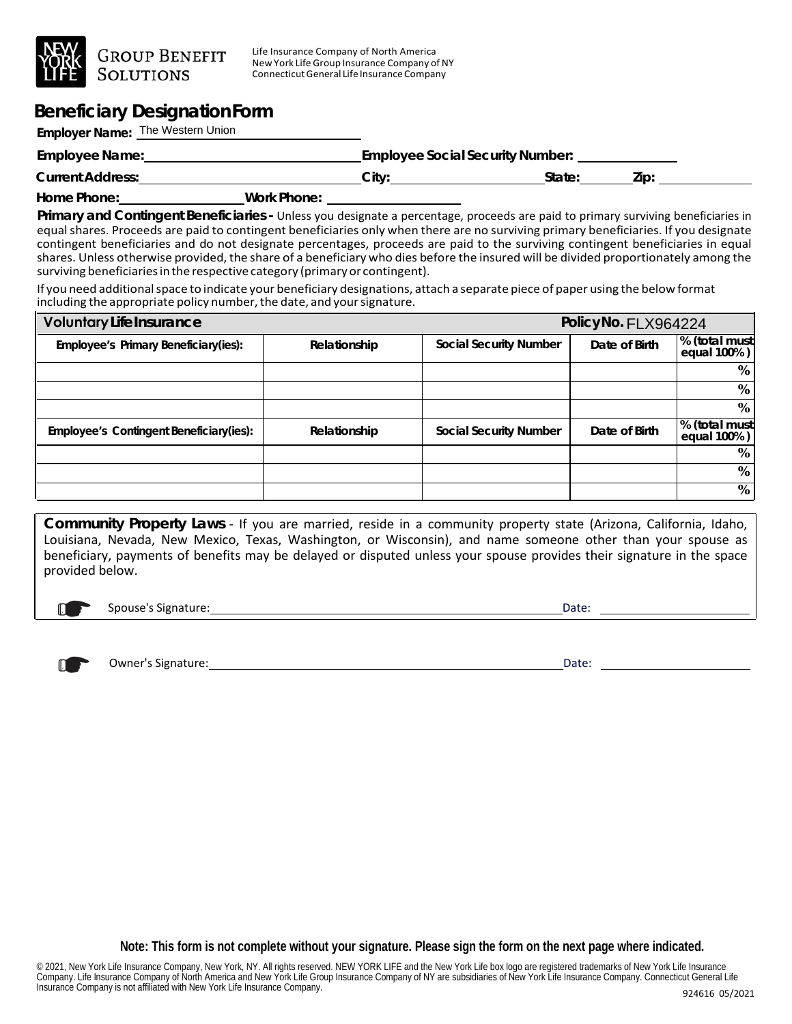

**GROUP BENEFIT** 

Life Insurance Company of North America New York Life Group Insurance Company of NY ConnecticutGeneral Life Insurance Company

## **Beneficiary DesignationForm**

**Employer Name:** The Western Union

| Employee Name:          |             | <b>Employee Social Security Number:</b> |        |      |  |
|-------------------------|-------------|-----------------------------------------|--------|------|--|
| <b>Current Address:</b> |             | City <sup>-</sup>                       | State: | Zip: |  |
| Home Phone:             | Work Phone: |                                         |        |      |  |

**Primary and Contingent Beneficiaries -** Unless you designate a percentage, proceeds are paid to primary surviving beneficiaries in equal shares. Proceeds are paid to contingent beneficiaries only when there are no surviving primary beneficiaries. If you designate contingent beneficiaries and do not designate percentages, proceeds are paid to the surviving contingent beneficiaries in equal shares. Unless otherwise provided, the share of a beneficiary who dies before the insured will be divided proportionately among the surviving beneficiaries in the respective category (primary or contingent).

If you need additionalspace to indicate your beneficiary designations, attach a separate piece of paper using the below format including the appropriate policy number, the date, and your signature.

| <b>Voluntary Life Insurance</b>         | PolicyNo. FLX964224 |                               |               |                               |
|-----------------------------------------|---------------------|-------------------------------|---------------|-------------------------------|
| Employee's Primary Beneficiary(ies):    | Relationship        | <b>Social Security Number</b> | Date of Birth | % (total must)<br>equal 100%) |
|                                         |                     |                               |               | %                             |
|                                         |                     |                               |               | %                             |
|                                         |                     |                               |               | %                             |
| Employee's Contingent Beneficiary(ies): | Relationship        | <b>Social Security Number</b> | Date of Birth | % (total must)<br>equal 100%) |
|                                         |                     |                               |               | %                             |
|                                         |                     |                               |               | %                             |
|                                         |                     |                               |               | %                             |

**Community Property Laws** - If you are married, reside in a community property state (Arizona, California, Idaho, Louisiana, Nevada, New Mexico, Texas, Washington, or Wisconsin), and name someone other than your spouse as beneficiary, payments of benefits may be delayed or disputed unless your spouse provides their signature in the space provided below.

☛ Spouse's Signature: Date:



Owner's Signature: <u>Date: Date: Date: Date: Date: Date: Date: Date: Date: Date: Date: Date:</u>

**Note: This form is not complete without your signature. Please sign the form on the next page where indicated.**

© 2021, New York Life Insurance Company, New York, NY. All rights reserved. NEW YORK LIFE and the New York Life box logo are registered trademarks of New York Life Insurance Company. Life Insurance Company of North America and New York Life Group Insurance Company of NY are subsidiaries of New York Life Insurance Company. Connecticut General Life Insurance Company is not affiliated with New York Life Insurance Company.<br>Insurance Company is not affiliated with New York Life Insurance Company. 924616 05/2021